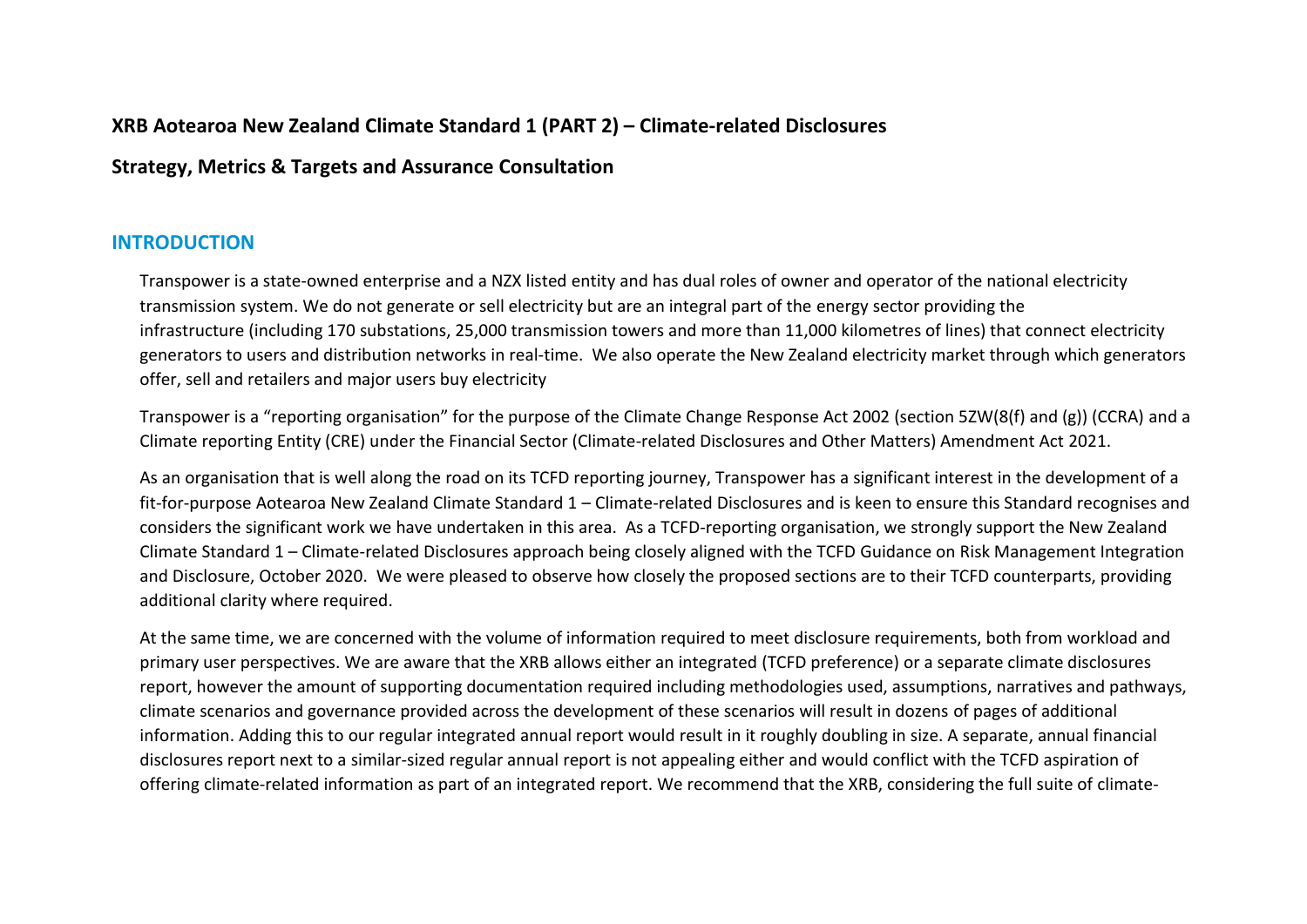# **XRB Aotearoa New Zealand Climate Standard 1 (PART 2) – Climate-related Disclosures**

# **Strategy, Metrics & Targets and Assurance Consultation**

# **INTRODUCTION**

Transpower is a state-owned enterprise and a NZX listed entity and has dual roles of owner and operator of the national electricity transmission system. We do not generate or sell electricity but are an integral part of the energy sector providing the infrastructure (including 170 substations, 25,000 transmission towers and more than 11,000 kilometres of lines) that connect electricity generators to users and distribution networks in real-time. We also operate the New Zealand electricity market through which generators offer, sell and retailers and major users buy electricity

Transpower is a "reporting organisation" for the purpose of the Climate Change Response Act 2002 (section 5ZW(8(f) and (g)) (CCRA) and a Climate reporting Entity (CRE) under the Financial Sector (Climate-related Disclosures and Other Matters) Amendment Act 2021.

As an organisation that is well along the road on its TCFD reporting journey, Transpower has a significant interest in the development of a fit-for-purpose Aotearoa New Zealand Climate Standard 1 – Climate-related Disclosures and is keen to ensure this Standard recognises and considers the significant work we have undertaken in this area. As a TCFD-reporting organisation, we strongly support the New Zealand Climate Standard 1 – Climate-related Disclosures approach being closely aligned with the TCFD Guidance on Risk Management Integration and Disclosure, October 2020. We were pleased to observe how closely the proposed sections are to their TCFD counterparts, providing additional clarity where required.

At the same time, we are concerned with the volume of information required to meet disclosure requirements, both from workload and primary user perspectives. We are aware that the XRB allows either an integrated (TCFD preference) or a separate climate disclosures report, however the amount of supporting documentation required including methodologies used, assumptions, narratives and pathways, climate scenarios and governance provided across the development of these scenarios will result in dozens of pages of additional information. Adding this to our regular integrated annual report would result in it roughly doubling in size. A separate, annual financial disclosures report next to a similar-sized regular annual report is not appealing either and would conflict with the TCFD aspiration of offering climate-related information as part of an integrated report. We recommend that the XRB, considering the full suite of climate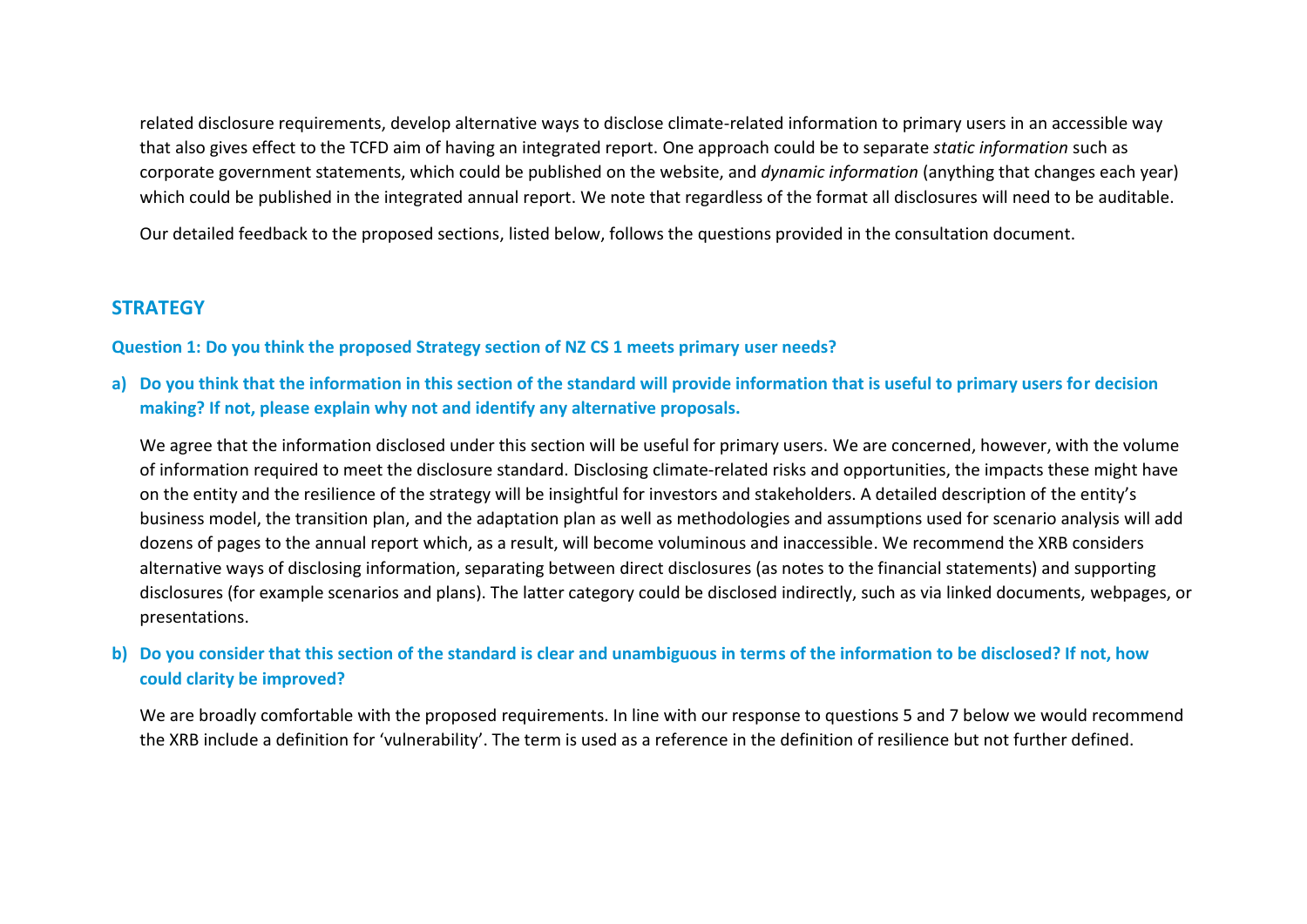related disclosure requirements, develop alternative ways to disclose climate-related information to primary users in an accessible way that also gives effect to the TCFD aim of having an integrated report. One approach could be to separate *static information* such as corporate government statements, which could be published on the website, and *dynamic information* (anything that changes each year) which could be published in the integrated annual report. We note that regardless of the format all disclosures will need to be auditable.

Our detailed feedback to the proposed sections, listed below, follows the questions provided in the consultation document.

### **STRATEGY**

**Question 1: Do you think the proposed Strategy section of NZ CS 1 meets primary user needs?**

**a) Do you think that the information in this section of the standard will provide information that is useful to primary users for decision making? If not, please explain why not and identify any alternative proposals.**

We agree that the information disclosed under this section will be useful for primary users. We are concerned, however, with the volume of information required to meet the disclosure standard. Disclosing climate-related risks and opportunities, the impacts these might have on the entity and the resilience of the strategy will be insightful for investors and stakeholders. A detailed description of the entity's business model, the transition plan, and the adaptation plan as well as methodologies and assumptions used for scenario analysis will add dozens of pages to the annual report which, as a result, will become voluminous and inaccessible. We recommend the XRB considers alternative ways of disclosing information, separating between direct disclosures (as notes to the financial statements) and supporting disclosures (for example scenarios and plans). The latter category could be disclosed indirectly, such as via linked documents, webpages, or presentations.

**b) Do you consider that this section of the standard is clear and unambiguous in terms of the information to be disclosed? If not, how could clarity be improved?**

We are broadly comfortable with the proposed requirements. In line with our response to questions 5 and 7 below we would recommend the XRB include a definition for 'vulnerability'. The term is used as a reference in the definition of resilience but not further defined.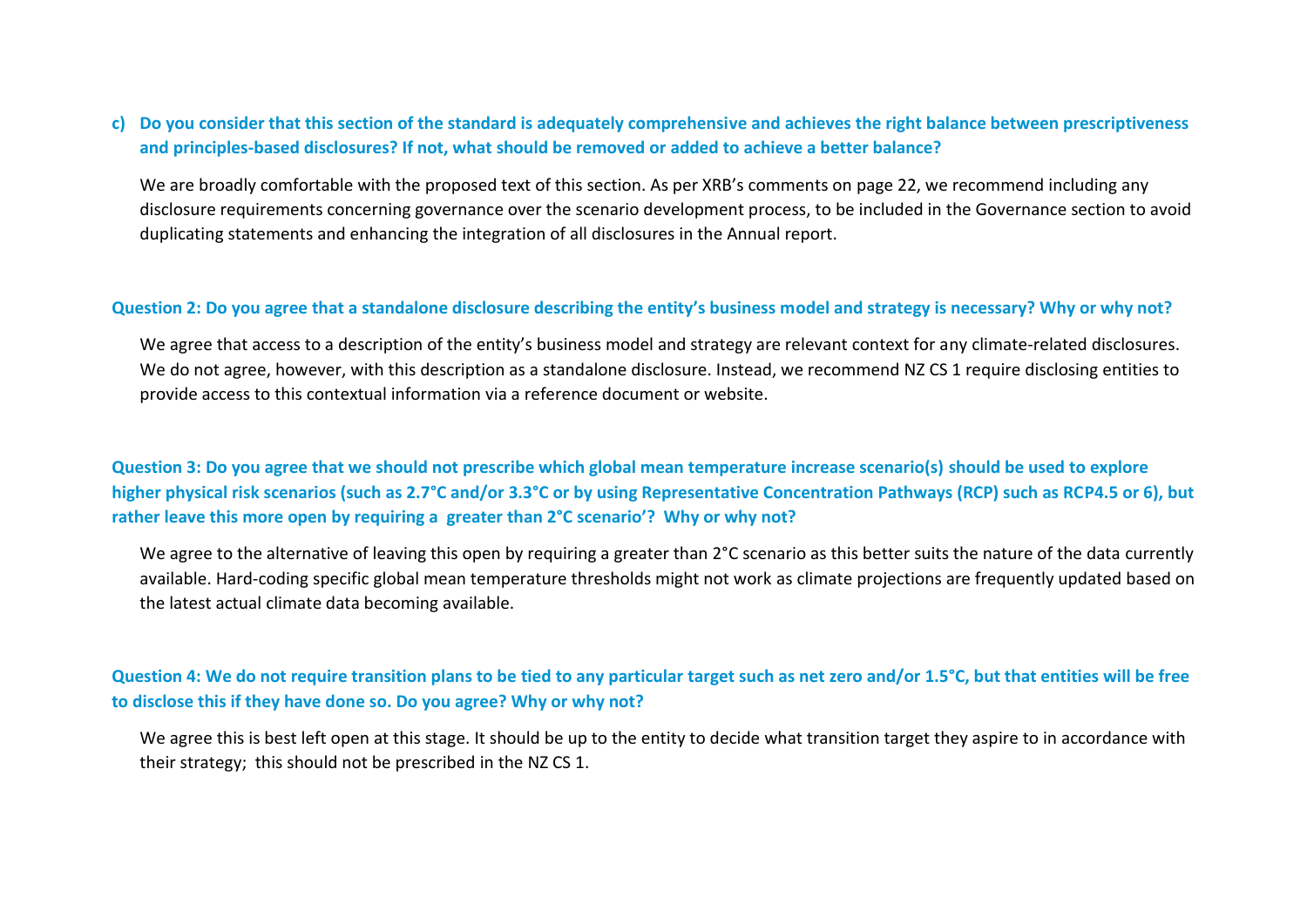### **c) Do you consider that this section of the standard is adequately comprehensive and achieves the right balance between prescriptiveness and principles-based disclosures? If not, what should be removed or added to achieve a better balance?**

We are broadly comfortable with the proposed text of this section. As per XRB's comments on page 22, we recommend including any disclosure requirements concerning governance over the scenario development process, to be included in the Governance section to avoid duplicating statements and enhancing the integration of all disclosures in the Annual report.

#### **Question 2: Do you agree that a standalone disclosure describing the entity's business model and strategy is necessary? Why or why not?**

We agree that access to a description of the entity's business model and strategy are relevant context for any climate-related disclosures. We do not agree, however, with this description as a standalone disclosure. Instead, we recommend NZ CS 1 require disclosing entities to provide access to this contextual information via a reference document or website.

**Question 3: Do you agree that we should not prescribe which global mean temperature increase scenario(s) should be used to explore higher physical risk scenarios (such as 2.7°C and/or 3.3°C or by using Representative Concentration Pathways (RCP) such as RCP4.5 or 6), but rather leave this more open by requiring a greater than 2°C scenario'? Why or why not?**

We agree to the alternative of leaving this open by requiring a greater than 2°C scenario as this better suits the nature of the data currently available. Hard-coding specific global mean temperature thresholds might not work as climate projections are frequently updated based on the latest actual climate data becoming available.

### **Question 4: We do not require transition plans to be tied to any particular target such as net zero and/or 1.5°C, but that entities will be free to disclose this if they have done so. Do you agree? Why or why not?**

We agree this is best left open at this stage. It should be up to the entity to decide what transition target they aspire to in accordance with their strategy; this should not be prescribed in the NZ CS 1.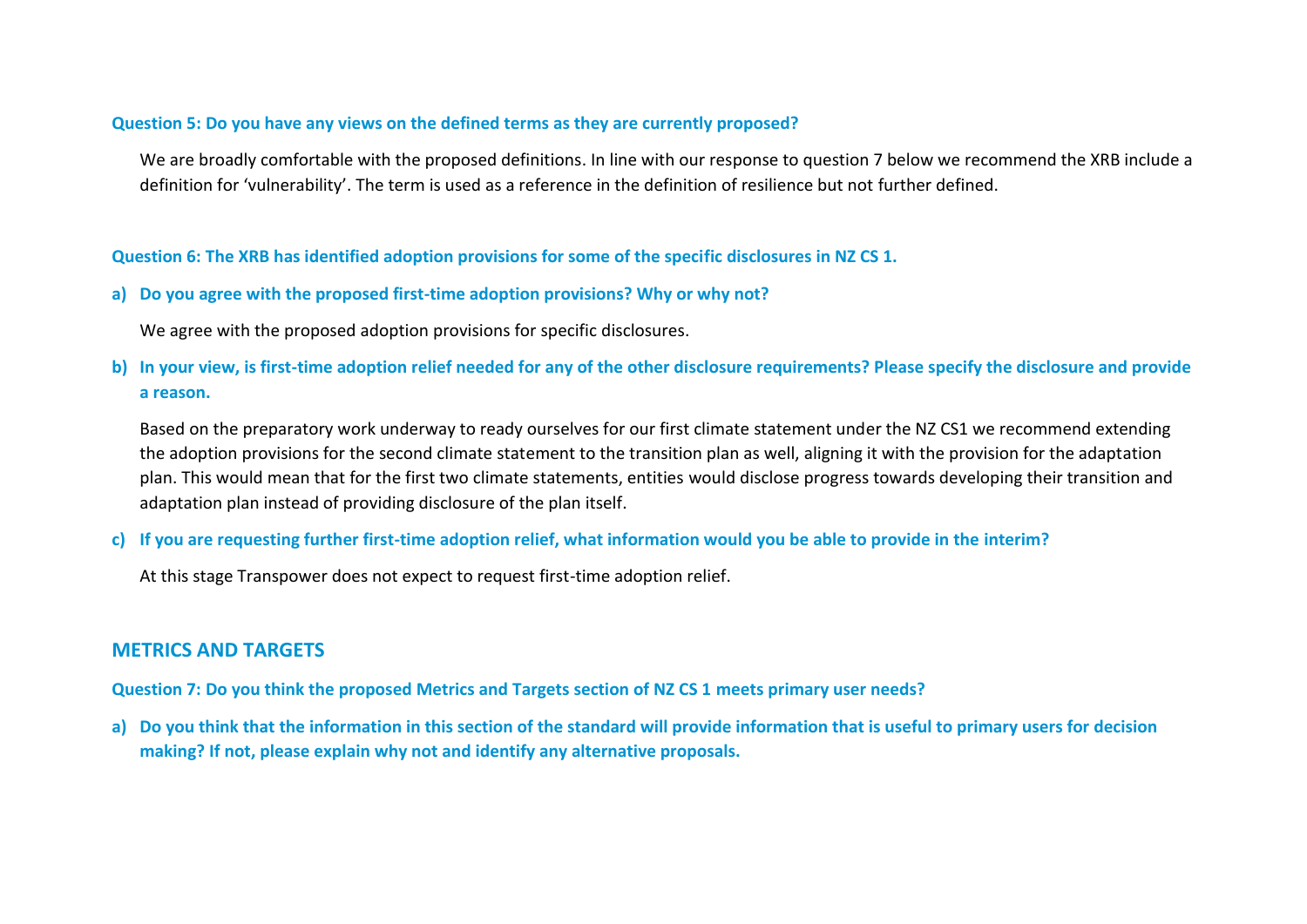#### **Question 5: Do you have any views on the defined terms as they are currently proposed?**

We are broadly comfortable with the proposed definitions. In line with our response to question 7 below we recommend the XRB include a definition for 'vulnerability'. The term is used as a reference in the definition of resilience but not further defined.

**Question 6: The XRB has identified adoption provisions for some of the specific disclosures in NZ CS 1.**

**a) Do you agree with the proposed first-time adoption provisions? Why or why not?**

We agree with the proposed adoption provisions for specific disclosures.

**b) In your view, is first-time adoption relief needed for any of the other disclosure requirements? Please specify the disclosure and provide a reason.**

Based on the preparatory work underway to ready ourselves for our first climate statement under the NZ CS1 we recommend extending the adoption provisions for the second climate statement to the transition plan as well, aligning it with the provision for the adaptation plan. This would mean that for the first two climate statements, entities would disclose progress towards developing their transition and adaptation plan instead of providing disclosure of the plan itself.

#### **c) If you are requesting further first-time adoption relief, what information would you be able to provide in the interim?**

At this stage Transpower does not expect to request first-time adoption relief.

# **METRICS AND TARGETS**

**Question 7: Do you think the proposed Metrics and Targets section of NZ CS 1 meets primary user needs?**

**a) Do you think that the information in this section of the standard will provide information that is useful to primary users for decision making? If not, please explain why not and identify any alternative proposals.**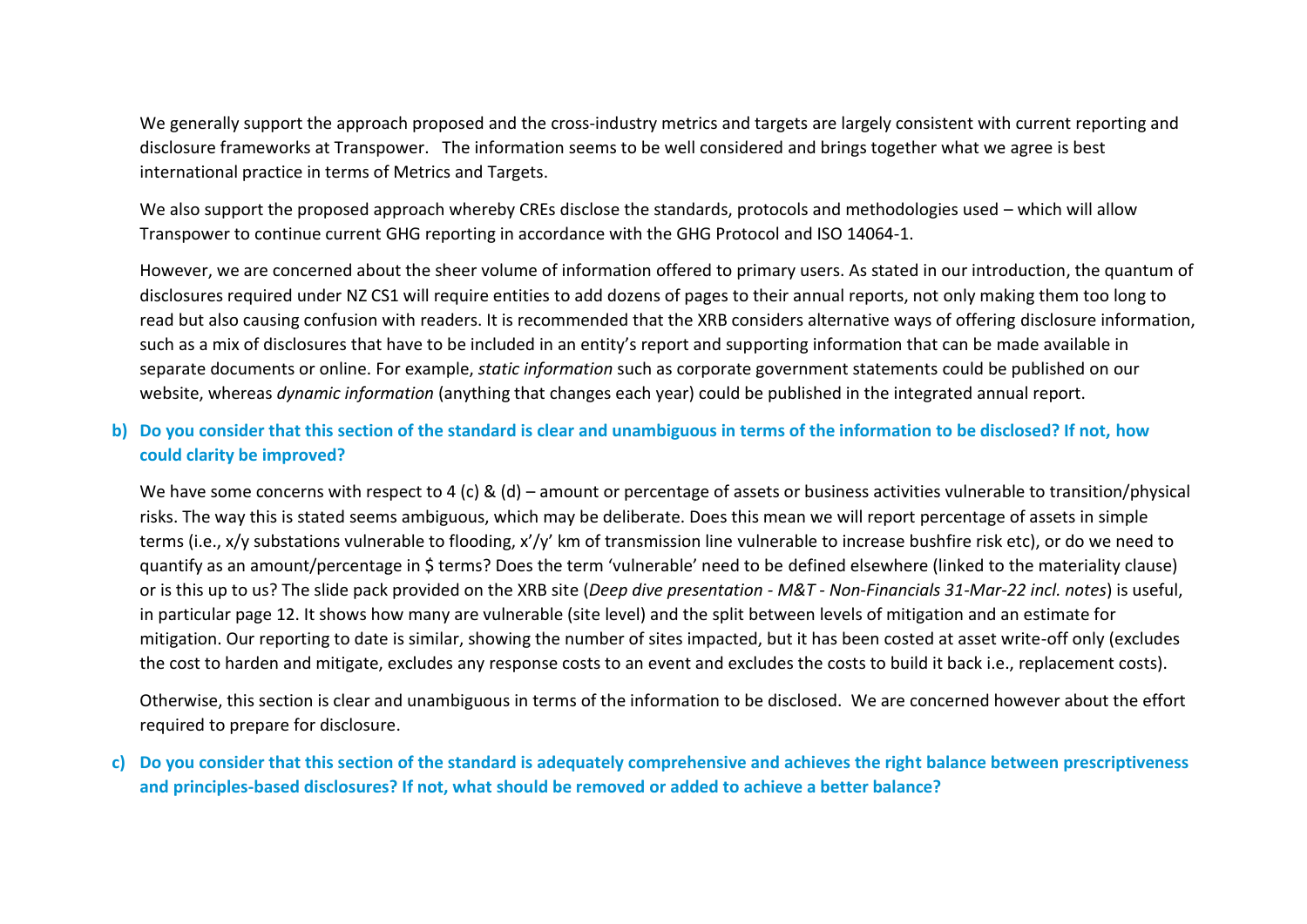We generally support the approach proposed and the cross-industry metrics and targets are largely consistent with current reporting and disclosure frameworks at Transpower. The information seems to be well considered and brings together what we agree is best international practice in terms of Metrics and Targets.

We also support the proposed approach whereby CREs disclose the standards, protocols and methodologies used – which will allow Transpower to continue current GHG reporting in accordance with the GHG Protocol and ISO 14064-1.

However, we are concerned about the sheer volume of information offered to primary users. As stated in our introduction, the quantum of disclosures required under NZ CS1 will require entities to add dozens of pages to their annual reports, not only making them too long to read but also causing confusion with readers. It is recommended that the XRB considers alternative ways of offering disclosure information, such as a mix of disclosures that have to be included in an entity's report and supporting information that can be made available in separate documents or online. For example, *static information* such as corporate government statements could be published on our website, whereas *dynamic information* (anything that changes each year) could be published in the integrated annual report.

# **b) Do you consider that this section of the standard is clear and unambiguous in terms of the information to be disclosed? If not, how could clarity be improved?**

We have some concerns with respect to 4 (c) & (d) – amount or percentage of assets or business activities vulnerable to transition/physical risks. The way this is stated seems ambiguous, which may be deliberate. Does this mean we will report percentage of assets in simple terms (i.e., x/y substations vulnerable to flooding, x'/y' km of transmission line vulnerable to increase bushfire risk etc), or do we need to quantify as an amount/percentage in \$ terms? Does the term 'vulnerable' need to be defined elsewhere (linked to the materiality clause) or is this up to us? The slide pack provided on the XRB site (*Deep dive presentation - M&T - Non-Financials 31-Mar-22 incl. notes*) is useful, in particular page 12. It shows how many are vulnerable (site level) and the split between levels of mitigation and an estimate for mitigation. Our reporting to date is similar, showing the number of sites impacted, but it has been costed at asset write-off only (excludes the cost to harden and mitigate, excludes any response costs to an event and excludes the costs to build it back i.e., replacement costs).

Otherwise, this section is clear and unambiguous in terms of the information to be disclosed. We are concerned however about the effort required to prepare for disclosure.

**c) Do you consider that this section of the standard is adequately comprehensive and achieves the right balance between prescriptiveness and principles-based disclosures? If not, what should be removed or added to achieve a better balance?**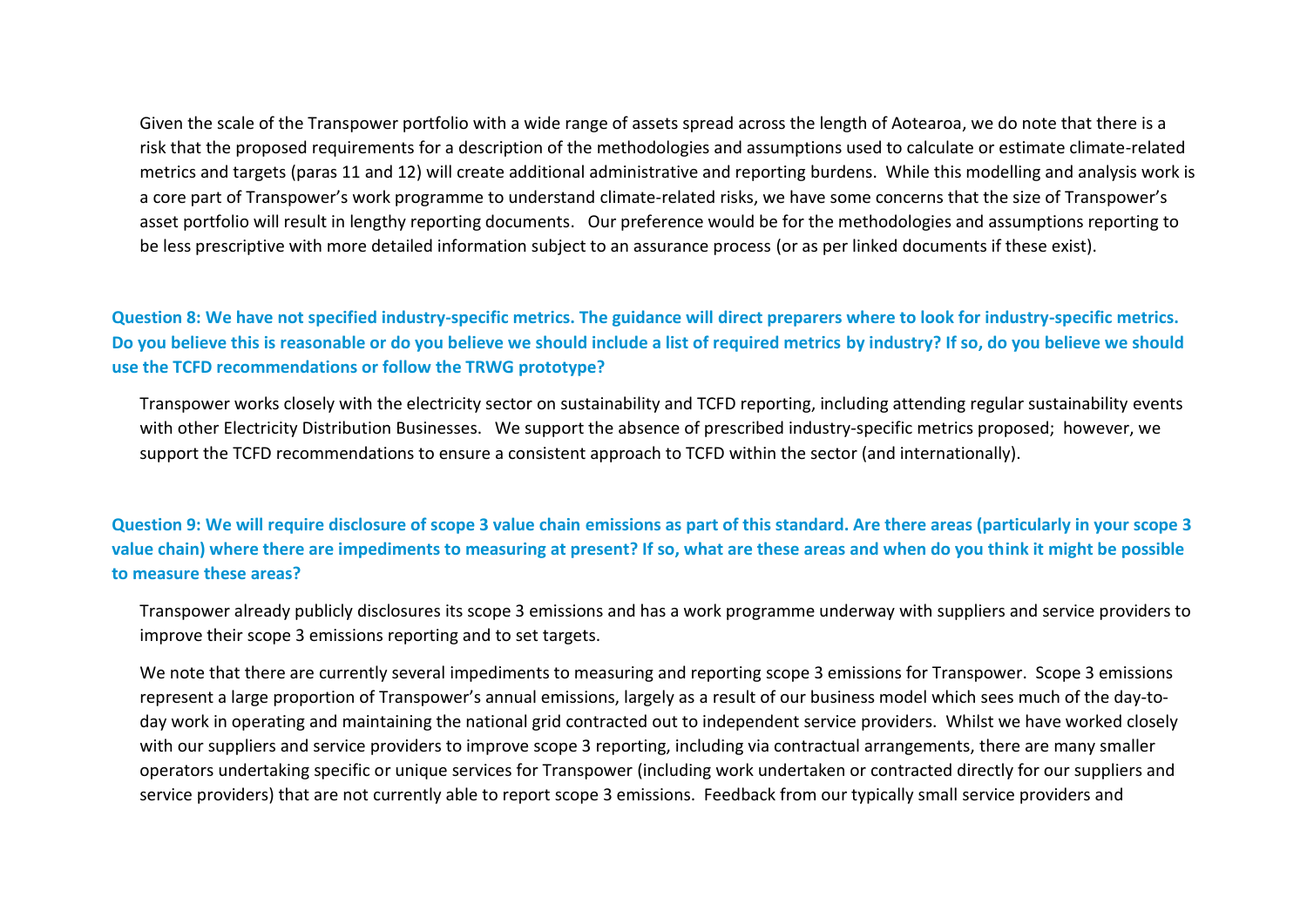Given the scale of the Transpower portfolio with a wide range of assets spread across the length of Aotearoa, we do note that there is a risk that the proposed requirements for a description of the methodologies and assumptions used to calculate or estimate climate-related metrics and targets (paras 11 and 12) will create additional administrative and reporting burdens. While this modelling and analysis work is a core part of Transpower's work programme to understand climate-related risks, we have some concerns that the size of Transpower's asset portfolio will result in lengthy reporting documents. Our preference would be for the methodologies and assumptions reporting to be less prescriptive with more detailed information subject to an assurance process (or as per linked documents if these exist).

**Question 8: We have not specified industry-specific metrics. The guidance will direct preparers where to look for industry-specific metrics. Do you believe this is reasonable or do you believe we should include a list of required metrics by industry? If so, do you believe we should use the TCFD recommendations or follow the TRWG prototype?**

Transpower works closely with the electricity sector on sustainability and TCFD reporting, including attending regular sustainability events with other Electricity Distribution Businesses. We support the absence of prescribed industry-specific metrics proposed; however, we support the TCFD recommendations to ensure a consistent approach to TCFD within the sector (and internationally).

**Question 9: We will require disclosure of scope 3 value chain emissions as part of this standard. Are there areas (particularly in your scope 3 value chain) where there are impediments to measuring at present? If so, what are these areas and when do you think it might be possible to measure these areas?**

Transpower already publicly disclosures its scope 3 emissions and has a work programme underway with suppliers and service providers to improve their scope 3 emissions reporting and to set targets.

We note that there are currently several impediments to measuring and reporting scope 3 emissions for Transpower. Scope 3 emissions represent a large proportion of Transpower's annual emissions, largely as a result of our business model which sees much of the day-today work in operating and maintaining the national grid contracted out to independent service providers. Whilst we have worked closely with our suppliers and service providers to improve scope 3 reporting, including via contractual arrangements, there are many smaller operators undertaking specific or unique services for Transpower (including work undertaken or contracted directly for our suppliers and service providers) that are not currently able to report scope 3 emissions. Feedback from our typically small service providers and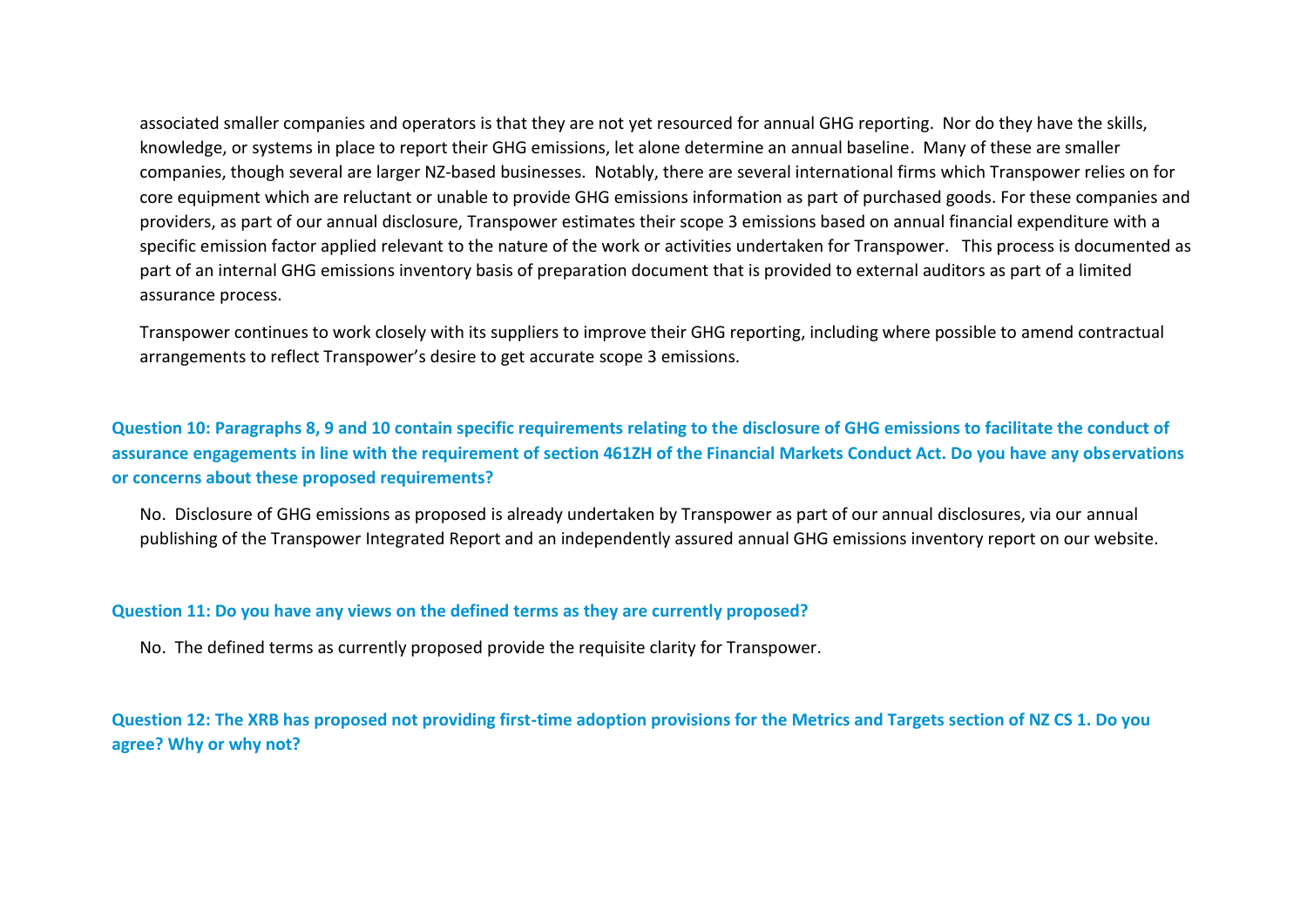associated smaller companies and operators is that they are not yet resourced for annual GHG reporting. Nor do they have the skills, knowledge, or systems in place to report their GHG emissions, let alone determine an annual baseline. Many of these are smaller companies, though several are larger NZ-based businesses. Notably, there are several international firms which Transpower relies on for core equipment which are reluctant or unable to provide GHG emissions information as part of purchased goods. For these companies and providers, as part of our annual disclosure, Transpower estimates their scope 3 emissions based on annual financial expenditure with a specific emission factor applied relevant to the nature of the work or activities undertaken for Transpower. This process is documented as part of an internal GHG emissions inventory basis of preparation document that is provided to external auditors as part of a limited assurance process.

Transpower continues to work closely with its suppliers to improve their GHG reporting, including where possible to amend contractual arrangements to reflect Transpower's desire to get accurate scope 3 emissions.

**Question 10: Paragraphs 8, 9 and 10 contain specific requirements relating to the disclosure of GHG emissions to facilitate the conduct of assurance engagements in line with the requirement of section 461ZH of the Financial Markets Conduct Act. Do you have any observations or concerns about these proposed requirements?** 

No. Disclosure of GHG emissions as proposed is already undertaken by Transpower as part of our annual disclosures, via our annual publishing of the Transpower Integrated Report and an independently assured annual GHG emissions inventory report on our website.

#### **Question 11: Do you have any views on the defined terms as they are currently proposed?**

No. The defined terms as currently proposed provide the requisite clarity for Transpower.

**Question 12: The XRB has proposed not providing first-time adoption provisions for the Metrics and Targets section of NZ CS 1. Do you agree? Why or why not?**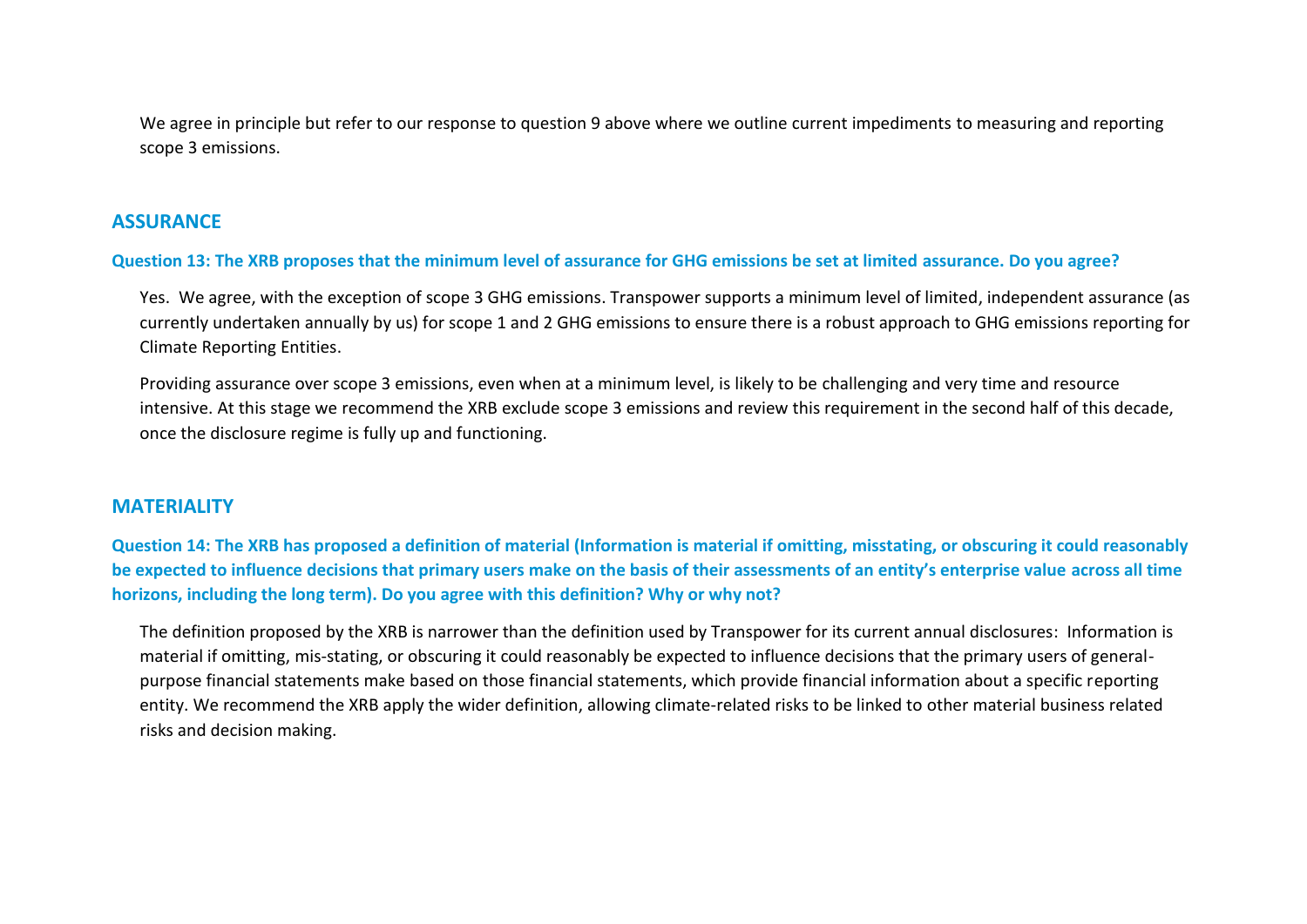We agree in principle but refer to our response to question 9 above where we outline current impediments to measuring and reporting scope 3 emissions.

### **ASSURANCE**

#### **Question 13: The XRB proposes that the minimum level of assurance for GHG emissions be set at limited assurance. Do you agree?**

Yes. We agree, with the exception of scope 3 GHG emissions. Transpower supports a minimum level of limited, independent assurance (as currently undertaken annually by us) for scope 1 and 2 GHG emissions to ensure there is a robust approach to GHG emissions reporting for Climate Reporting Entities.

Providing assurance over scope 3 emissions, even when at a minimum level, is likely to be challenging and very time and resource intensive. At this stage we recommend the XRB exclude scope 3 emissions and review this requirement in the second half of this decade, once the disclosure regime is fully up and functioning.

### **MATERIALITY**

**Question 14: The XRB has proposed a definition of material (Information is material if omitting, misstating, or obscuring it could reasonably be expected to influence decisions that primary users make on the basis of their assessments of an entity's enterprise value across all time horizons, including the long term). Do you agree with this definition? Why or why not?**

The definition proposed by the XRB is narrower than the definition used by Transpower for its current annual disclosures: Information is material if omitting, mis-stating, or obscuring it could reasonably be expected to influence decisions that the primary users of generalpurpose financial statements make based on those financial statements, which provide financial information about a specific reporting entity. We recommend the XRB apply the wider definition, allowing climate-related risks to be linked to other material business related risks and decision making.